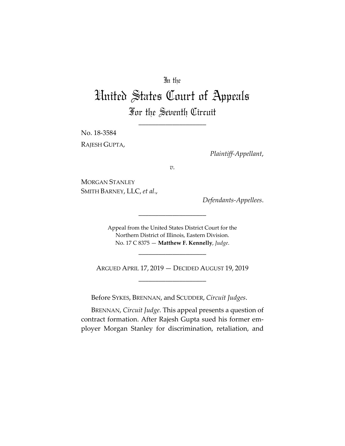## In the

# United States Court of Appeals For the Seventh Circuit

\_\_\_\_\_\_\_\_\_\_\_\_\_\_\_\_\_\_\_\_

No. 18-3584 RAJESH GUPTA,

*Plaintiff-Appellant*,

*v.*

MORGAN STANLEY SMITH BARNEY, LLC, *et al*.,

*Defendants-Appellees*.

Appeal from the United States District Court for the Northern District of Illinois, Eastern Division. No. 17 C 8375 — **Matthew F. Kennelly**, *Judge*.

\_\_\_\_\_\_\_\_\_\_\_\_\_\_\_\_\_\_\_\_

\_\_\_\_\_\_\_\_\_\_\_\_\_\_\_\_\_\_\_\_

ARGUED APRIL 17, 2019 — DECIDED AUGUST 19, 2019 \_\_\_\_\_\_\_\_\_\_\_\_\_\_\_\_\_\_\_\_

Before SYKES, BRENNAN, and SCUDDER, *Circuit Judges*.

BRENNAN, *Circuit Judge*. This appeal presents a question of contract formation. After Rajesh Gupta sued his former employer Morgan Stanley for discrimination, retaliation, and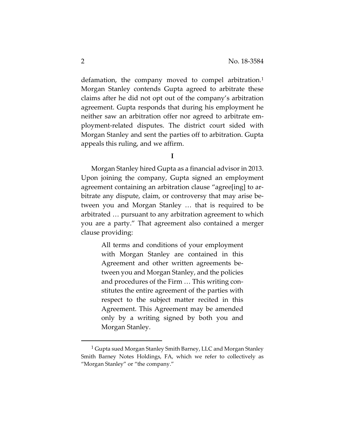defamation, the company moved to compel arbitration.<sup>1</sup> Morgan Stanley contends Gupta agreed to arbitrate these claims after he did not opt out of the company's arbitration agreement. Gupta responds that during his employment he neither saw an arbitration offer nor agreed to arbitrate employment-related disputes. The district court sided with Morgan Stanley and sent the parties off to arbitration. Gupta appeals this ruling, and we affirm.

**I** 

Morgan Stanley hired Gupta as a financial advisor in 2013. Upon joining the company, Gupta signed an employment agreement containing an arbitration clause "agree[ing] to arbitrate any dispute, claim, or controversy that may arise between you and Morgan Stanley … that is required to be arbitrated … pursuant to any arbitration agreement to which you are a party." That agreement also contained a merger clause providing:

> All terms and conditions of your employment with Morgan Stanley are contained in this Agreement and other written agreements between you and Morgan Stanley, and the policies and procedures of the Firm … This writing constitutes the entire agreement of the parties with respect to the subject matter recited in this Agreement. This Agreement may be amended only by a writing signed by both you and Morgan Stanley.

 <sup>1</sup> Gupta sued Morgan Stanley Smith Barney, LLC and Morgan Stanley Smith Barney Notes Holdings, FA, which we refer to collectively as "Morgan Stanley" or "the company."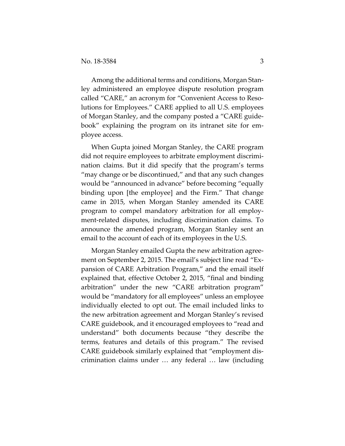Among the additional terms and conditions, Morgan Stanley administered an employee dispute resolution program called "CARE," an acronym for "Convenient Access to Resolutions for Employees." CARE applied to all U.S. employees of Morgan Stanley, and the company posted a "CARE guidebook" explaining the program on its intranet site for employee access.

When Gupta joined Morgan Stanley, the CARE program did not require employees to arbitrate employment discrimination claims. But it did specify that the program's terms "may change or be discontinued," and that any such changes would be "announced in advance" before becoming "equally binding upon [the employee] and the Firm." That change came in 2015, when Morgan Stanley amended its CARE program to compel mandatory arbitration for all employment-related disputes, including discrimination claims. To announce the amended program, Morgan Stanley sent an email to the account of each of its employees in the U.S.

Morgan Stanley emailed Gupta the new arbitration agreement on September 2, 2015. The email's subject line read "Expansion of CARE Arbitration Program," and the email itself explained that, effective October 2, 2015, "final and binding arbitration" under the new "CARE arbitration program" would be "mandatory for all employees" unless an employee individually elected to opt out. The email included links to the new arbitration agreement and Morgan Stanley's revised CARE guidebook, and it encouraged employees to "read and understand" both documents because "they describe the terms, features and details of this program." The revised CARE guidebook similarly explained that "employment discrimination claims under … any federal … law (including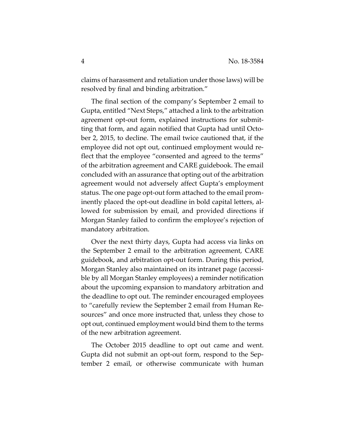claims of harassment and retaliation under those laws) will be resolved by final and binding arbitration."

The final section of the company's September 2 email to Gupta, entitled "Next Steps," attached a link to the arbitration agreement opt-out form, explained instructions for submitting that form, and again notified that Gupta had until October 2, 2015, to decline. The email twice cautioned that, if the employee did not opt out, continued employment would reflect that the employee "consented and agreed to the terms" of the arbitration agreement and CARE guidebook. The email concluded with an assurance that opting out of the arbitration agreement would not adversely affect Gupta's employment status. The one page opt-out form attached to the email prominently placed the opt-out deadline in bold capital letters, allowed for submission by email, and provided directions if Morgan Stanley failed to confirm the employee's rejection of mandatory arbitration.

Over the next thirty days, Gupta had access via links on the September 2 email to the arbitration agreement, CARE guidebook, and arbitration opt-out form. During this period, Morgan Stanley also maintained on its intranet page (accessible by all Morgan Stanley employees) a reminder notification about the upcoming expansion to mandatory arbitration and the deadline to opt out. The reminder encouraged employees to "carefully review the September 2 email from Human Resources" and once more instructed that, unless they chose to opt out, continued employment would bind them to the terms of the new arbitration agreement.

The October 2015 deadline to opt out came and went. Gupta did not submit an opt-out form, respond to the September 2 email, or otherwise communicate with human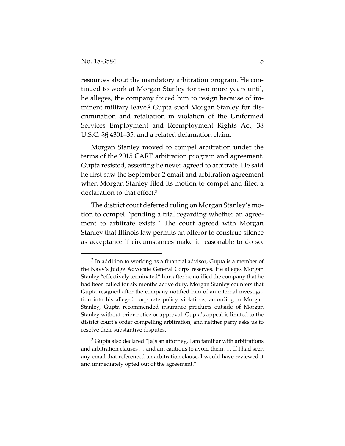$\overline{a}$ 

resources about the mandatory arbitration program. He continued to work at Morgan Stanley for two more years until, he alleges, the company forced him to resign because of imminent military leave.<sup>2</sup> Gupta sued Morgan Stanley for discrimination and retaliation in violation of the Uniformed Services Employment and Reemployment Rights Act, 38 U.S.C. §§ 4301–35, and a related defamation claim.

Morgan Stanley moved to compel arbitration under the terms of the 2015 CARE arbitration program and agreement. Gupta resisted, asserting he never agreed to arbitrate. He said he first saw the September 2 email and arbitration agreement when Morgan Stanley filed its motion to compel and filed a declaration to that effect.3

The district court deferred ruling on Morgan Stanley's motion to compel "pending a trial regarding whether an agreement to arbitrate exists." The court agreed with Morgan Stanley that Illinois law permits an offeror to construe silence as acceptance if circumstances make it reasonable to do so.

 $2$  In addition to working as a financial advisor, Gupta is a member of the Navy's Judge Advocate General Corps reserves. He alleges Morgan Stanley "effectively terminated" him after he notified the company that he had been called for six months active duty. Morgan Stanley counters that Gupta resigned after the company notified him of an internal investigation into his alleged corporate policy violations; according to Morgan Stanley, Gupta recommended insurance products outside of Morgan Stanley without prior notice or approval. Gupta's appeal is limited to the district court's order compelling arbitration, and neither party asks us to resolve their substantive disputes.

 $3$  Gupta also declared "[a]s an attorney, I am familiar with arbitrations and arbitration clauses … and am cautious to avoid them. … If I had seen any email that referenced an arbitration clause, I would have reviewed it and immediately opted out of the agreement."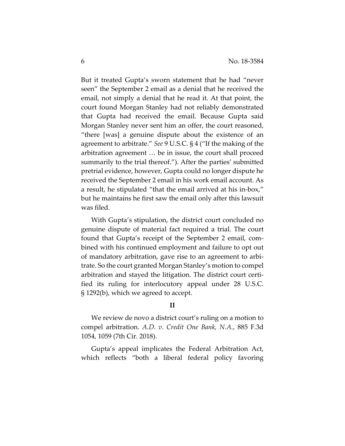But it treated Gupta's sworn statement that he had "never seen" the September 2 email as a denial that he received the email, not simply a denial that he read it. At that point, the court found Morgan Stanley had not reliably demonstrated that Gupta had received the email. Because Gupta said Morgan Stanley never sent him an offer, the court reasoned, "there [was] a genuine dispute about the existence of an agreement to arbitrate." *See* 9 U.S.C. § 4 ("If the making of the arbitration agreement … be in issue, the court shall proceed summarily to the trial thereof."). After the parties' submitted pretrial evidence, however, Gupta could no longer dispute he received the September 2 email in his work email account. As a result, he stipulated "that the email arrived at his in-box," but he maintains he first saw the email only after this lawsuit was filed.

With Gupta's stipulation, the district court concluded no genuine dispute of material fact required a trial. The court found that Gupta's receipt of the September 2 email, combined with his continued employment and failure to opt out of mandatory arbitration, gave rise to an agreement to arbitrate. So the court granted Morgan Stanley's motion to compel arbitration and stayed the litigation. The district court certified its ruling for interlocutory appeal under 28 U.S.C. § 1292(b), which we agreed to accept.

### **II**

We review de novo a district court's ruling on a motion to compel arbitration. *A.D. v. Credit One Bank, N.A.*, 885 F.3d 1054, 1059 (7th Cir. 2018).

Gupta's appeal implicates the Federal Arbitration Act, which reflects "both a liberal federal policy favoring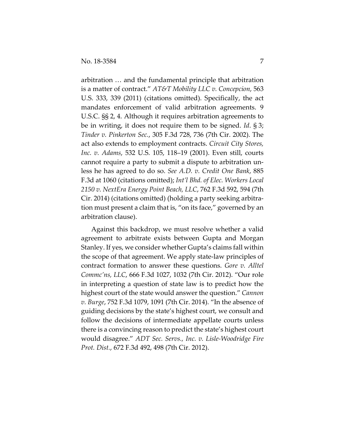arbitration … and the fundamental principle that arbitration is a matter of contract." *AT&T Mobility LLC v. Concepcion*, 563 U.S. 333, 339 (2011) (citations omitted). Specifically, the act mandates enforcement of valid arbitration agreements. 9 U.S.C. §§ 2, 4. Although it requires arbitration agreements to be in writing, it does not require them to be signed. *Id*. § 3; *Tinder v. Pinkerton Sec.*, 305 F.3d 728, 736 (7th Cir. 2002). The act also extends to employment contracts. *Circuit City Stores, Inc. v. Adams*, 532 U.S. 105, 118–19 (2001). Even still, courts cannot require a party to submit a dispute to arbitration unless he has agreed to do so. *See A.D. v. Credit One Bank*, 885 F.3d at 1060 (citations omitted); *Int'l Bhd. of Elec. Workers Local 2150 v. NextEra Energy Point Beach, LLC*, 762 F.3d 592, 594 (7th Cir. 2014) (citations omitted) (holding a party seeking arbitration must present a claim that is, "on its face," governed by an arbitration clause).

Against this backdrop, we must resolve whether a valid agreement to arbitrate exists between Gupta and Morgan Stanley. If yes, we consider whether Gupta's claims fall within the scope of that agreement. We apply state-law principles of contract formation to answer these questions. *Gore v. Alltel Commc'ns, LLC*, 666 F.3d 1027, 1032 (7th Cir. 2012). "Our role in interpreting a question of state law is to predict how the highest court of the state would answer the question." *Cannon v. Burge*, 752 F.3d 1079, 1091 (7th Cir. 2014). "In the absence of guiding decisions by the state's highest court, we consult and follow the decisions of intermediate appellate courts unless there is a convincing reason to predict the state's highest court would disagree." *ADT Sec. Servs., Inc. v. Lisle-Woodridge Fire Prot. Dist.*, 672 F.3d 492, 498 (7th Cir. 2012).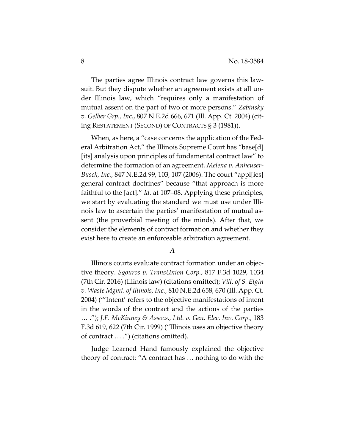The parties agree Illinois contract law governs this lawsuit. But they dispute whether an agreement exists at all under Illinois law, which "requires only a manifestation of mutual assent on the part of two or more persons." *Zabinsky v. Gelber Grp., Inc.*, 807 N.E.2d 666, 671 (Ill. App. Ct. 2004) (citing RESTATEMENT (SECOND) OF CONTRACTS § 3 (1981)).

When, as here, a "case concerns the application of the Federal Arbitration Act," the Illinois Supreme Court has "base[d] [its] analysis upon principles of fundamental contract law" to determine the formation of an agreement. *Melena v. Anheuser-Busch, Inc.*, 847 N.E.2d 99, 103, 107 (2006). The court "appl[ies] general contract doctrines" because "that approach is more faithful to the [act]." *Id*. at 107–08. Applying these principles, we start by evaluating the standard we must use under Illinois law to ascertain the parties' manifestation of mutual assent (the proverbial meeting of the minds). After that, we consider the elements of contract formation and whether they exist here to create an enforceable arbitration agreement.

### *A*

Illinois courts evaluate contract formation under an objective theory. *Sgouros v. TransUnion Corp.*, 817 F.3d 1029, 1034 (7th Cir. 2016) (Illinois law) (citations omitted); *Vill. of S. Elgin v. Waste Mgmt. of Illinois, Inc.*, 810 N.E.2d 658, 670 (Ill. App. Ct. 2004) ("'Intent' refers to the objective manifestations of intent in the words of the contract and the actions of the parties … ."); *J.F. McKinney & Assocs., Ltd. v. Gen. Elec. Inv. Corp.*, 183 F.3d 619, 622 (7th Cir. 1999) ("Illinois uses an objective theory of contract … .") (citations omitted).

Judge Learned Hand famously explained the objective theory of contract: "A contract has … nothing to do with the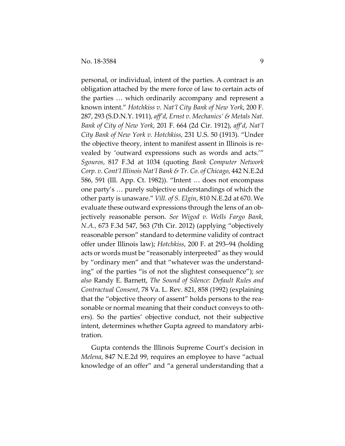personal, or individual, intent of the parties. A contract is an obligation attached by the mere force of law to certain acts of the parties … which ordinarily accompany and represent a known intent." *Hotchkiss v. Nat'l City Bank of New York*, 200 F. 287, 293 (S.D.N.Y. 1911), *aff'd*, *Ernst v. Mechanics' & Metals Nat. Bank of City of New York*, 201 F. 664 (2d Cir. 1912), *aff'd*, *Nat'l City Bank of New York v. Hotchkiss*, 231 U.S. 50 (1913). "Under the objective theory, intent to manifest assent in Illinois is revealed by 'outward expressions such as words and acts.'" *Sgouros*, 817 F.3d at 1034 (quoting *Bank Computer Network Corp. v. Cont'l Illinois Nat'l Bank & Tr. Co. of Chicago*, 442 N.E.2d 586, 591 (Ill. App. Ct. 1982)). "Intent … does not encompass one party's … purely subjective understandings of which the other party is unaware." *Vill. of S. Elgin*, 810 N.E.2d at 670. We evaluate these outward expressions through the lens of an objectively reasonable person. *See Wigod v. Wells Fargo Bank, N.A.*, 673 F.3d 547, 563 (7th Cir. 2012) (applying "objectively reasonable person" standard to determine validity of contract offer under Illinois law); *Hotchkiss*, 200 F. at 293–94 (holding acts or words must be "reasonably interpreted" as they would by "ordinary men" and that "whatever was the understanding" of the parties "is of not the slightest consequence"); *see also* Randy E. Barnett, *The Sound of Silence: Default Rules and Contractual Consent*, 78 Va. L. Rev. 821, 858 (1992) (explaining that the "objective theory of assent" holds persons to the reasonable or normal meaning that their conduct conveys to others). So the parties' objective conduct, not their subjective intent, determines whether Gupta agreed to mandatory arbitration.

Gupta contends the Illinois Supreme Court's decision in *Melena*, 847 N.E.2d 99, requires an employee to have "actual knowledge of an offer" and "a general understanding that a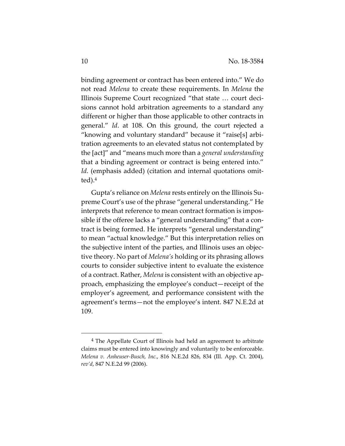binding agreement or contract has been entered into." We do not read *Melena* to create these requirements. In *Melena* the Illinois Supreme Court recognized "that state … court decisions cannot hold arbitration agreements to a standard any different or higher than those applicable to other contracts in general." *Id*. at 108. On this ground, the court rejected a "knowing and voluntary standard" because it "raise[s] arbitration agreements to an elevated status not contemplated by the [act]" and "means much more than a *general understanding* that a binding agreement or contract is being entered into." *Id.* (emphasis added) (citation and internal quotations omitted).4

Gupta's reliance on *Melena* rests entirely on the Illinois Supreme Court's use of the phrase "general understanding." He interprets that reference to mean contract formation is impossible if the offeree lacks a "general understanding" that a contract is being formed. He interprets "general understanding" to mean "actual knowledge." But this interpretation relies on the subjective intent of the parties, and Illinois uses an objective theory. No part of *Melena's* holding or its phrasing allows courts to consider subjective intent to evaluate the existence of a contract. Rather, *Melena* is consistent with an objective approach, emphasizing the employee's conduct—receipt of the employer's agreement, and performance consistent with the agreement's terms—not the employee's intent. 847 N.E.2d at 109.

 <sup>4</sup> The Appellate Court of Illinois had held an agreement to arbitrate claims must be entered into knowingly and voluntarily to be enforceable. *Melena v. Anheuser-Busch, Inc.*, 816 N.E.2d 826, 834 (Ill. App. Ct. 2004), *rev'd*, 847 N.E.2d 99 (2006).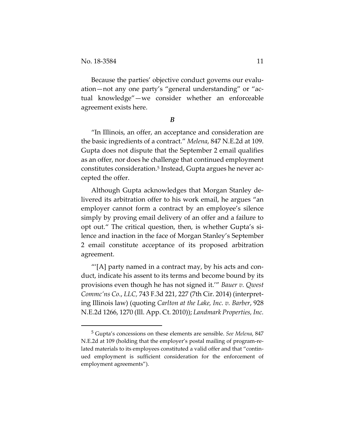Because the parties' objective conduct governs our evaluation—not any one party's "general understanding" or "actual knowledge"—we consider whether an enforceable agreement exists here.

*B* 

"In Illinois, an offer, an acceptance and consideration are the basic ingredients of a contract." *Melena*, 847 N.E.2d at 109. Gupta does not dispute that the September 2 email qualifies as an offer, nor does he challenge that continued employment constitutes consideration.5 Instead, Gupta argues he never accepted the offer.

Although Gupta acknowledges that Morgan Stanley delivered its arbitration offer to his work email, he argues "an employer cannot form a contract by an employee's silence simply by proving email delivery of an offer and a failure to opt out." The critical question, then, is whether Gupta's silence and inaction in the face of Morgan Stanley's September 2 email constitute acceptance of its proposed arbitration agreement.

 $^{\prime\prime\prime}$ [A] party named in a contract may, by his acts and conduct, indicate his assent to its terms and become bound by its provisions even though he has not signed it.'" *Bauer v. Qwest Commc'ns Co.*, *LLC,* 743 F.3d 221, 227 (7th Cir. 2014) (interpreting Illinois law) (quoting *Carlton at the Lake, Inc. v. Barber*, 928 N.E.2d 1266, 1270 (Ill. App. Ct. 2010)); *Landmark Properties, Inc.* 

 <sup>5</sup> Gupta's concessions on these elements are sensible. *See Melena*, 847 N.E.2d at 109 (holding that the employer's postal mailing of program-related materials to its employees constituted a valid offer and that "continued employment is sufficient consideration for the enforcement of employment agreements").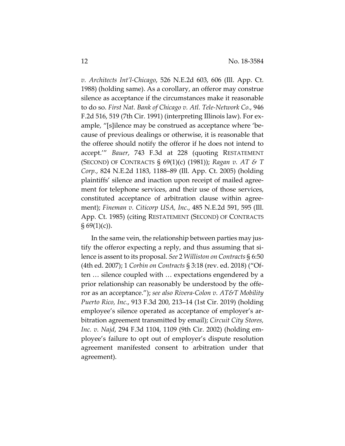*v. Architects Int'l-Chicago*, 526 N.E.2d 603, 606 (Ill. App. Ct. 1988) (holding same). As a corollary, an offeror may construe silence as acceptance if the circumstances make it reasonable to do so. *First Nat. Bank of Chicago v. Atl. Tele-Network Co.*, 946 F.2d 516, 519 (7th Cir. 1991) (interpreting Illinois law). For example, "[s]ilence may be construed as acceptance where 'because of previous dealings or otherwise, it is reasonable that the offeree should notify the offeror if he does not intend to accept.'" *Bauer*, 743 F.3d at 228 (quoting RESTATEMENT (SECOND) OF CONTRACTS § 69(1)(c) (1981)); *Ragan v. AT & T Corp.*, 824 N.E.2d 1183, 1188–89 (Ill. App. Ct. 2005) (holding plaintiffs' silence and inaction upon receipt of mailed agreement for telephone services, and their use of those services, constituted acceptance of arbitration clause within agreement); *Fineman v. Citicorp USA, Inc.*, 485 N.E.2d 591, 595 (Ill. App. Ct. 1985) (citing RESTATEMENT (SECOND) OF CONTRACTS  $\S 69(1)(c)$ ).

In the same vein, the relationship between parties may justify the offeror expecting a reply, and thus assuming that silence is assent to its proposal. *See* 2 *Williston on Contracts* § 6:50 (4th ed. 2007); 1 *Corbin on Contracts* § 3:18 (rev. ed. 2018) ("Often … silence coupled with … expectations engendered by a prior relationship can reasonably be understood by the offeror as an acceptance."); *see also Rivera-Colon v. AT&T Mobility Puerto Rico, Inc*., 913 F.3d 200, 213–14 (1st Cir. 2019) (holding employee's silence operated as acceptance of employer's arbitration agreement transmitted by email); *Circuit City Stores, Inc. v. Najd*, 294 F.3d 1104, 1109 (9th Cir. 2002) (holding employee's failure to opt out of employer's dispute resolution agreement manifested consent to arbitration under that agreement).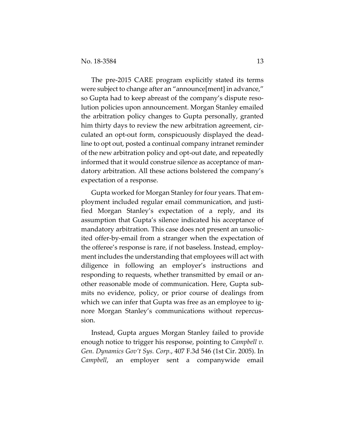The pre-2015 CARE program explicitly stated its terms were subject to change after an "announce[ment] in advance," so Gupta had to keep abreast of the company's dispute resolution policies upon announcement. Morgan Stanley emailed the arbitration policy changes to Gupta personally, granted him thirty days to review the new arbitration agreement, circulated an opt-out form, conspicuously displayed the deadline to opt out, posted a continual company intranet reminder of the new arbitration policy and opt-out date, and repeatedly informed that it would construe silence as acceptance of mandatory arbitration. All these actions bolstered the company's expectation of a response.

Gupta worked for Morgan Stanley for four years. That employment included regular email communication, and justified Morgan Stanley's expectation of a reply, and its assumption that Gupta's silence indicated his acceptance of mandatory arbitration. This case does not present an unsolicited offer-by-email from a stranger when the expectation of the offeree's response is rare, if not baseless. Instead, employment includes the understanding that employees will act with diligence in following an employer's instructions and responding to requests, whether transmitted by email or another reasonable mode of communication. Here, Gupta submits no evidence, policy, or prior course of dealings from which we can infer that Gupta was free as an employee to ignore Morgan Stanley's communications without repercussion.

Instead, Gupta argues Morgan Stanley failed to provide enough notice to trigger his response, pointing to *Campbell v. Gen. Dynamics Gov't Sys. Corp.*, 407 F.3d 546 (1st Cir. 2005). In *Campbell*, an employer sent a companywide email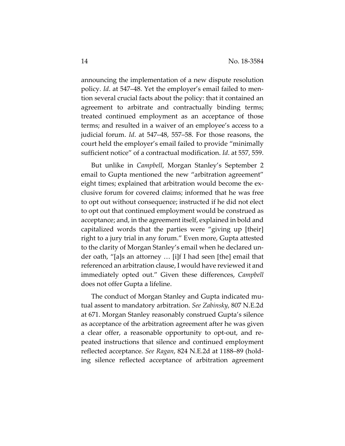announcing the implementation of a new dispute resolution policy. *Id*. at 547–48. Yet the employer's email failed to mention several crucial facts about the policy: that it contained an agreement to arbitrate and contractually binding terms; treated continued employment as an acceptance of those terms; and resulted in a waiver of an employee's access to a judicial forum. *Id*. at 547–48, 557–58. For those reasons, the court held the employer's email failed to provide "minimally sufficient notice" of a contractual modification. *Id*. at 557, 559.

But unlike in *Campbell*, Morgan Stanley's September 2 email to Gupta mentioned the new "arbitration agreement" eight times; explained that arbitration would become the exclusive forum for covered claims; informed that he was free to opt out without consequence; instructed if he did not elect to opt out that continued employment would be construed as acceptance; and, in the agreement itself, explained in bold and capitalized words that the parties were "giving up [their] right to a jury trial in any forum." Even more, Gupta attested to the clarity of Morgan Stanley's email when he declared under oath, "[a]s an attorney … [i]f I had seen [the] email that referenced an arbitration clause, I would have reviewed it and immediately opted out." Given these differences, *Campbell* does not offer Gupta a lifeline.

The conduct of Morgan Stanley and Gupta indicated mutual assent to mandatory arbitration. *See Zabinsky*, 807 N.E.2d at 671. Morgan Stanley reasonably construed Gupta's silence as acceptance of the arbitration agreement after he was given a clear offer, a reasonable opportunity to opt-out, and repeated instructions that silence and continued employment reflected acceptance. *See Ragan*, 824 N.E.2d at 1188–89 (holding silence reflected acceptance of arbitration agreement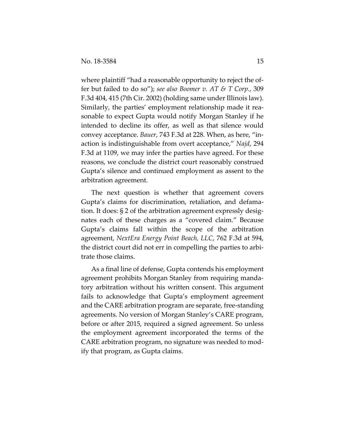where plaintiff "had a reasonable opportunity to reject the offer but failed to do so"); *see also Boomer v. AT & T Corp.*, 309 F.3d 404, 415 (7th Cir. 2002) (holding same under Illinois law). Similarly, the parties' employment relationship made it reasonable to expect Gupta would notify Morgan Stanley if he intended to decline its offer, as well as that silence would convey acceptance. *Bauer*, 743 F.3d at 228. When, as here, "inaction is indistinguishable from overt acceptance," *Najd*, 294 F.3d at 1109, we may infer the parties have agreed. For these reasons, we conclude the district court reasonably construed Gupta's silence and continued employment as assent to the arbitration agreement.

The next question is whether that agreement covers Gupta's claims for discrimination, retaliation, and defamation. It does: § 2 of the arbitration agreement expressly designates each of these charges as a "covered claim." Because Gupta's claims fall within the scope of the arbitration agreement, *NextEra Energy Point Beach, LLC*, 762 F.3d at 594, the district court did not err in compelling the parties to arbitrate those claims.

As a final line of defense, Gupta contends his employment agreement prohibits Morgan Stanley from requiring mandatory arbitration without his written consent. This argument fails to acknowledge that Gupta's employment agreement and the CARE arbitration program are separate, free-standing agreements. No version of Morgan Stanley's CARE program, before or after 2015, required a signed agreement. So unless the employment agreement incorporated the terms of the CARE arbitration program, no signature was needed to modify that program, as Gupta claims.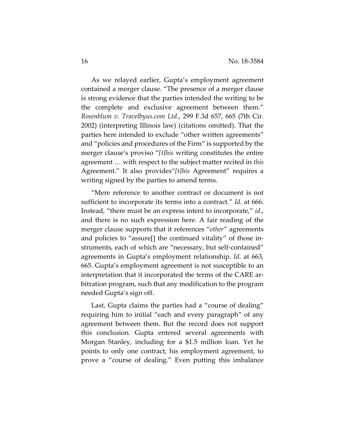As we relayed earlier, Gupta's employment agreement contained a merger clause. "The presence of a merger clause is strong evidence that the parties intended the writing to be the complete and exclusive agreement between them." *Rosenblum v. Travelbyus.com Ltd.*, 299 F.3d 657, 665 (7th Cir. 2002) (interpreting Illinois law) (citations omitted). That the parties here intended to exclude "other written agreements" and "policies and procedures of the Firm" is supported by the merger clause's proviso "*[t]his* writing constitutes the entire agreement … with respect to the subject matter recited in *this* Agreement." It also provides"*[t]his* Agreement" requires a writing signed by the parties to amend terms.

"Mere reference to another contract or document is not sufficient to incorporate its terms into a contract." *Id*. at 666. Instead, "there must be an express intent to incorporate," *id*., and there is no such expression here. A fair reading of the merger clause supports that it references "*other*" agreements and policies to "assure[] the continued vitality" of those instruments, each of which are "necessary, but self-contained" agreements in Gupta's employment relationship. *Id*. at 663, 665. Gupta's employment agreement is not susceptible to an interpretation that it incorporated the terms of the CARE arbitration program, such that any modification to the program needed Gupta's sign off.

Last, Gupta claims the parties had a "course of dealing" requiring him to initial "each and every paragraph" of any agreement between them. But the record does not support this conclusion. Gupta entered several agreements with Morgan Stanley, including for a \$1.5 million loan. Yet he points to only one contract, his employment agreement, to prove a "course of dealing." Even putting this imbalance